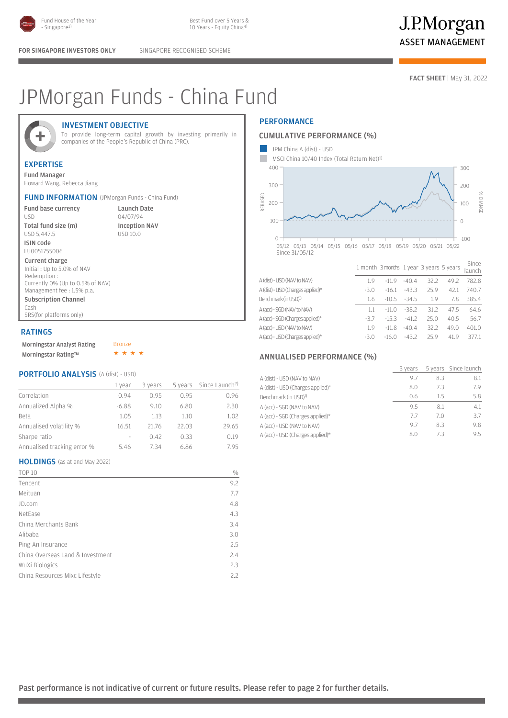

FOR SINGAPORE INVESTORS ONLY SINGAPORE RECOGNISED SCHEME

**FACT SHEET** | May 31, 2022

# JPMorgan Funds - China Fund



## INVESTMENT OBJECTIVE

To provide long-term capital growth by investing primarily in companies of the People's Republic of China (PRC).

# EXPERTISE

Fund Manager Howard Wang, Rebecca Jiang

|  | <b>FUND INFORMATION</b> (JPMorgan Funds - China Fund) |
|--|-------------------------------------------------------|
|--|-------------------------------------------------------|

Fund base currency USD Total fund size (m) USD 5,447.5

Launch Date 04/07/94 Inception NAV USD 10.0

LU0051755006 Current charge Initial : Up to 5.0% of NAV Redemption : Currently 0% (Up to 0.5% of NAV) Management fee : 1.5% p.a. Subscription Channel Cash SRS(for platforms only)

### RATINGS

ISIN code

| <b>Morningstar Analyst Rating</b> | <b>Bronze</b> |
|-----------------------------------|---------------|
| Morningstar Rating™               |               |

## PORTFOLIO ANALYSIS (A (dist) - USD)

|                             | 1 vear  | 3 years | 5 years | Since Launch <sup>2)</sup> |
|-----------------------------|---------|---------|---------|----------------------------|
| Correlation                 | 0.94    | O 95    | 0.95    | 0.96                       |
| Annualized Alpha %          | $-6.88$ | 9.10    | 6.80    | 2.30                       |
| Beta                        | 1.05    | 1.13    | 1.10    | 1.02                       |
| Annualised volatility %     | 16.51   | 21.76   | 22.03   | 29.65                      |
| Sharpe ratio                | $\sim$  | 0.42    | 0.33    | 0.19                       |
| Annualised tracking error % | 5.46    | 7.34    | 6.86    | 795                        |

## HOLDINGS (as at end May 2022)

| <b>TOP 10</b>                    | $\frac{0}{0}$ |
|----------------------------------|---------------|
| Tencent                          | 9.2           |
| Meituan                          | 7.7           |
| JD.com                           | 4.8           |
| NetEase                          | 4.3           |
| China Merchants Bank             | 3.4           |
| Alibaba                          | 3.0           |
| Ping An Insurance                | 2.5           |
| China Overseas Land & Investment | 2.4           |
| WuXi Biologics                   | 2.3           |
| China Resources Mixc Lifestyle   | 2.2           |
|                                  |               |

# **PERFORMANCE**

### CUMULATIVE PERFORMANCE (%)



|                                   |        |         |         |      |      | Taunch |
|-----------------------------------|--------|---------|---------|------|------|--------|
| A (dist) - USD (NAV to NAV)       | 19     | $-119$  | $-40.4$ | 32.2 | 49.2 | 782.8  |
| A (dist) - USD (Charges applied)* | $-3.0$ | $-16.1$ | $-43.3$ | 25.9 | 42.1 | 740.7  |
| Benchmark (in USD) <sup>1)</sup>  | 1.6    | $-10.5$ | $-34.5$ | 1.9  | 7.8  | 385.4  |
| A (acc) - SGD (NAV to NAV)        |        | $-11.0$ | $-38.2$ | 31.2 | 47.5 | 64.6   |
| A (acc) - SGD (Charges applied)*  | $-3.7$ | $-153$  | $-41.2$ | 25.0 | 40.5 | 56.7   |
| A (acc) - USD (NAV to NAV)        | 1.9    | $-11.8$ | $-40.4$ | 32.2 | 49.0 | 401.0  |
| A (acc) - USD (Charges applied)*  | $-3.0$ | $-16.0$ | $-43.2$ | 259  | 41.9 | 377.1  |
|                                   |        |         |         |      |      |        |

### ANNUALISED PERFORMANCE (%)

|                                   | 3 years |     | 5 years Since launch |
|-----------------------------------|---------|-----|----------------------|
| A (dist) - USD (NAV to NAV)       | 9.7     | 8.3 | 8.1                  |
| A (dist) - USD (Charges applied)* | 8.0     | 7.3 | 7.9                  |
| Benchmark (in USD) <sup>1)</sup>  | 0.6     | 15  | 5.8                  |
| A (acc) - SGD (NAV to NAV)        | 9.5     | 8.1 | 4.1                  |
| A (acc) - SGD (Charges applied)*  | 7.7     | 7 O | 3.7                  |
| A (acc) - USD (NAV to NAV)        | 9.7     | 8.3 | 9.8                  |
| A (acc) - USD (Charges applied)*  | 8.0     | 73  | 9.5                  |

Past performance is not indicative of current or future results. Please refer to page 2 for further details.